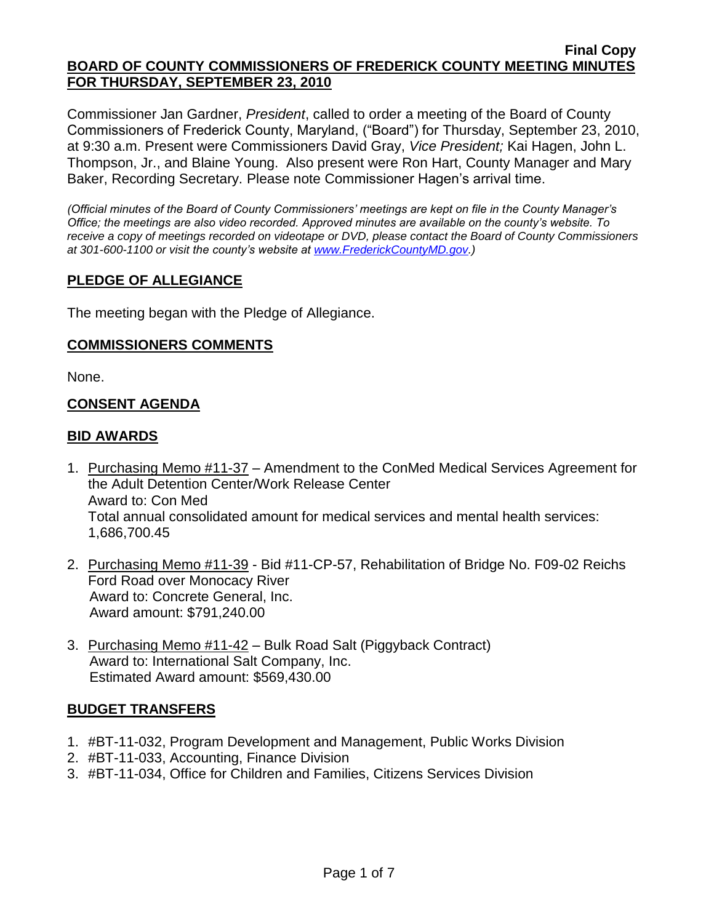Commissioner Jan Gardner, *President*, called to order a meeting of the Board of County Commissioners of Frederick County, Maryland, ("Board") for Thursday, September 23, 2010, at 9:30 a.m. Present were Commissioners David Gray, *Vice President;* Kai Hagen, John L. Thompson, Jr., and Blaine Young. Also present were Ron Hart, County Manager and Mary Baker, Recording Secretary. Please note Commissioner Hagen's arrival time.

*(Official minutes of the Board of County Commissioners' meetings are kept on file in the County Manager's Office; the meetings are also video recorded. Approved minutes are available on the county's website. To receive a copy of meetings recorded on videotape or DVD, please contact the Board of County Commissioners at 301-600-1100 or visit the county's website at [www.FrederickCountyMD.gov.](http://www.frederickcountymd.gov/))*

# **PLEDGE OF ALLEGIANCE**

The meeting began with the Pledge of Allegiance.

### **COMMISSIONERS COMMENTS**

None.

### **CONSENT AGENDA**

### **BID AWARDS**

- 1. Purchasing Memo #11-37 Amendment to the ConMed Medical Services Agreement for the Adult Detention Center/Work Release Center Award to: Con Med Total annual consolidated amount for medical services and mental health services: 1,686,700.45
- 2. Purchasing Memo #11-39 Bid #11-CP-57, Rehabilitation of Bridge No. F09-02 Reichs Ford Road over Monocacy River Award to: Concrete General, Inc. Award amount: \$791,240.00
- 3. Purchasing Memo #11-42 Bulk Road Salt (Piggyback Contract) Award to: International Salt Company, Inc. Estimated Award amount: \$569,430.00

### **BUDGET TRANSFERS**

- 1. #BT-11-032, Program Development and Management, Public Works Division
- 2. #BT-11-033, Accounting, Finance Division
- 3. #BT-11-034, Office for Children and Families, Citizens Services Division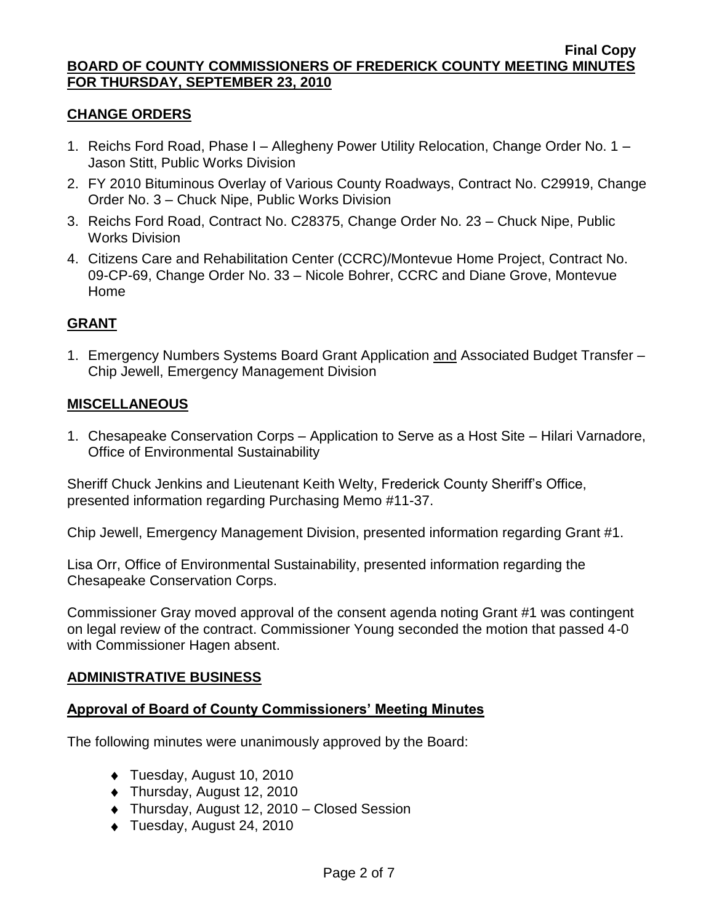### **CHANGE ORDERS**

- 1. Reichs Ford Road, Phase I Allegheny Power Utility Relocation, Change Order No. 1 Jason Stitt, Public Works Division
- 2. FY 2010 Bituminous Overlay of Various County Roadways, Contract No. C29919, Change Order No. 3 – Chuck Nipe, Public Works Division
- 3. Reichs Ford Road, Contract No. C28375, Change Order No. 23 Chuck Nipe, Public Works Division
- 4. Citizens Care and Rehabilitation Center (CCRC)/Montevue Home Project, Contract No. 09-CP-69, Change Order No. 33 – Nicole Bohrer, CCRC and Diane Grove, Montevue Home

# **GRANT**

1. Emergency Numbers Systems Board Grant Application and Associated Budget Transfer – Chip Jewell, Emergency Management Division

### **MISCELLANEOUS**

1. Chesapeake Conservation Corps – Application to Serve as a Host Site – Hilari Varnadore, Office of Environmental Sustainability

Sheriff Chuck Jenkins and Lieutenant Keith Welty, Frederick County Sheriff's Office, presented information regarding Purchasing Memo #11-37.

Chip Jewell, Emergency Management Division, presented information regarding Grant #1.

Lisa Orr, Office of Environmental Sustainability, presented information regarding the Chesapeake Conservation Corps.

Commissioner Gray moved approval of the consent agenda noting Grant #1 was contingent on legal review of the contract. Commissioner Young seconded the motion that passed 4-0 with Commissioner Hagen absent.

### **ADMINISTRATIVE BUSINESS**

## **Approval of Board of County Commissioners' Meeting Minutes**

The following minutes were unanimously approved by the Board:

- ◆ Tuesday, August 10, 2010
- ◆ Thursday, August 12, 2010
- Thursday, August 12, 2010 Closed Session
- Tuesday, August 24, 2010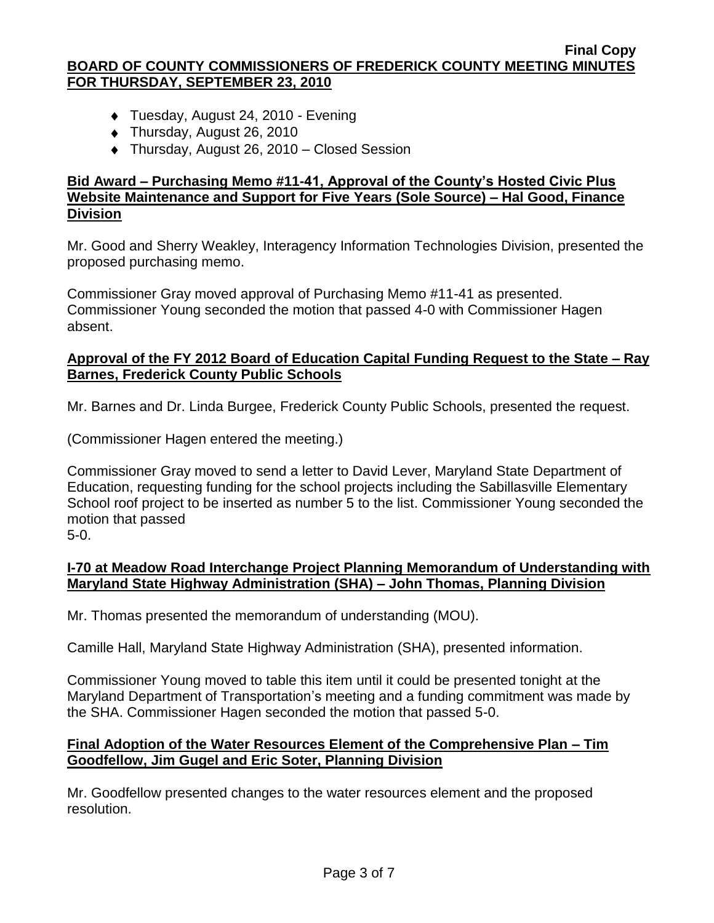- ◆ Tuesday, August 24, 2010 Evening
- ◆ Thursday, August 26, 2010
- ◆ Thursday, August 26, 2010 Closed Session

# **Bid Award – Purchasing Memo #11-41, Approval of the County's Hosted Civic Plus Website Maintenance and Support for Five Years (Sole Source) – Hal Good, Finance Division**

Mr. Good and Sherry Weakley, Interagency Information Technologies Division, presented the proposed purchasing memo.

Commissioner Gray moved approval of Purchasing Memo #11-41 as presented. Commissioner Young seconded the motion that passed 4-0 with Commissioner Hagen absent.

## **Approval of the FY 2012 Board of Education Capital Funding Request to the State – Ray Barnes, Frederick County Public Schools**

Mr. Barnes and Dr. Linda Burgee, Frederick County Public Schools, presented the request.

(Commissioner Hagen entered the meeting.)

Commissioner Gray moved to send a letter to David Lever, Maryland State Department of Education, requesting funding for the school projects including the Sabillasville Elementary School roof project to be inserted as number 5 to the list. Commissioner Young seconded the motion that passed

5-0.

### **I-70 at Meadow Road Interchange Project Planning Memorandum of Understanding with Maryland State Highway Administration (SHA) – John Thomas, Planning Division**

Mr. Thomas presented the memorandum of understanding (MOU).

Camille Hall, Maryland State Highway Administration (SHA), presented information.

Commissioner Young moved to table this item until it could be presented tonight at the Maryland Department of Transportation's meeting and a funding commitment was made by the SHA. Commissioner Hagen seconded the motion that passed 5-0.

# **Final Adoption of the Water Resources Element of the Comprehensive Plan – Tim Goodfellow, Jim Gugel and Eric Soter, Planning Division**

Mr. Goodfellow presented changes to the water resources element and the proposed resolution.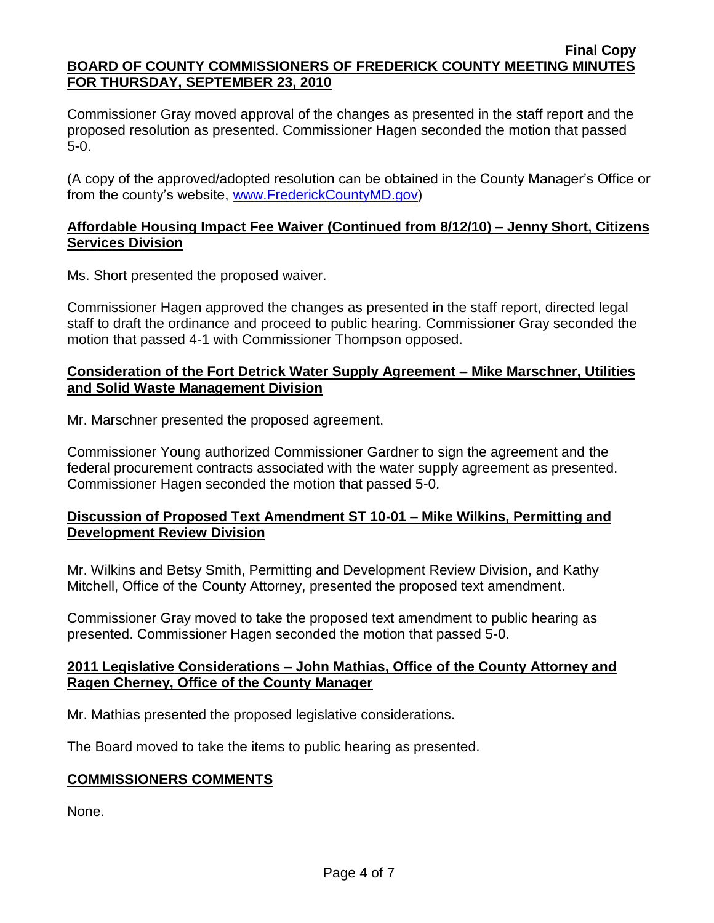Commissioner Gray moved approval of the changes as presented in the staff report and the proposed resolution as presented. Commissioner Hagen seconded the motion that passed 5-0.

(A copy of the approved/adopted resolution can be obtained in the County Manager's Office or from the county's website, [www.FrederickCountyMD.gov\)](file://NT1S5/BOCC/BOCC/BOCC%20Minutes/Mary)

## **Affordable Housing Impact Fee Waiver (Continued from 8/12/10) – Jenny Short, Citizens Services Division**

Ms. Short presented the proposed waiver.

Commissioner Hagen approved the changes as presented in the staff report, directed legal staff to draft the ordinance and proceed to public hearing. Commissioner Gray seconded the motion that passed 4-1 with Commissioner Thompson opposed.

### **Consideration of the Fort Detrick Water Supply Agreement – Mike Marschner, Utilities and Solid Waste Management Division**

Mr. Marschner presented the proposed agreement.

Commissioner Young authorized Commissioner Gardner to sign the agreement and the federal procurement contracts associated with the water supply agreement as presented. Commissioner Hagen seconded the motion that passed 5-0.

# **Discussion of Proposed Text Amendment ST 10-01 – Mike Wilkins, Permitting and Development Review Division**

Mr. Wilkins and Betsy Smith, Permitting and Development Review Division, and Kathy Mitchell, Office of the County Attorney, presented the proposed text amendment.

Commissioner Gray moved to take the proposed text amendment to public hearing as presented. Commissioner Hagen seconded the motion that passed 5-0.

### **2011 Legislative Considerations – John Mathias, Office of the County Attorney and Ragen Cherney, Office of the County Manager**

Mr. Mathias presented the proposed legislative considerations.

The Board moved to take the items to public hearing as presented.

# **COMMISSIONERS COMMENTS**

None.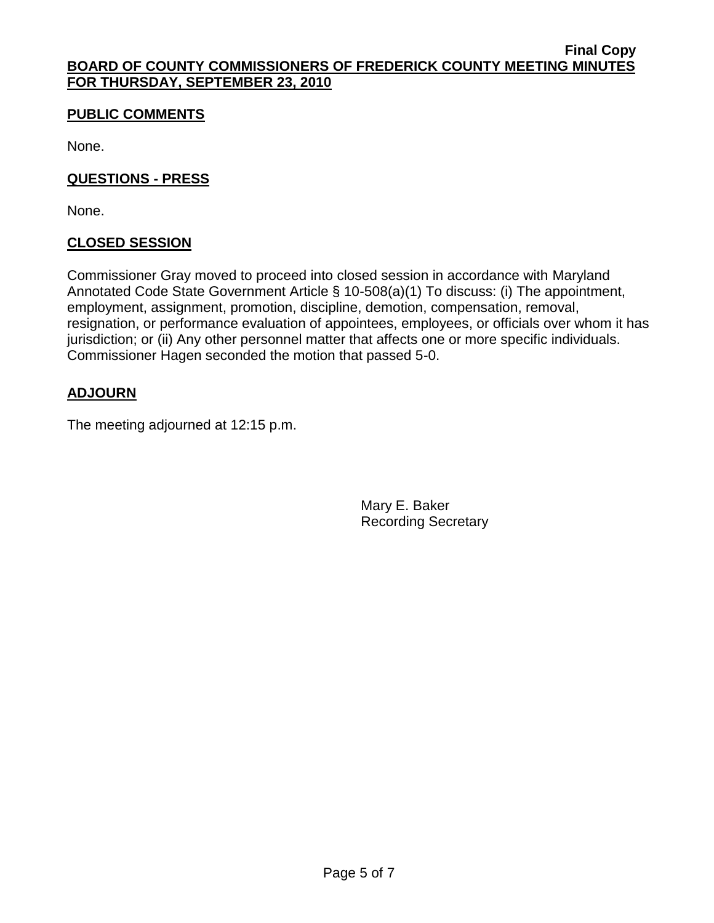# **PUBLIC COMMENTS**

None.

# **QUESTIONS - PRESS**

None.

# **CLOSED SESSION**

Commissioner Gray moved to proceed into closed session in accordance with Maryland Annotated Code State Government Article § 10-508(a)(1) To discuss: (i) The appointment, employment, assignment, promotion, discipline, demotion, compensation, removal, resignation, or performance evaluation of appointees, employees, or officials over whom it has jurisdiction; or (ii) Any other personnel matter that affects one or more specific individuals. Commissioner Hagen seconded the motion that passed 5-0.

# **ADJOURN**

The meeting adjourned at 12:15 p.m.

Mary E. Baker Recording Secretary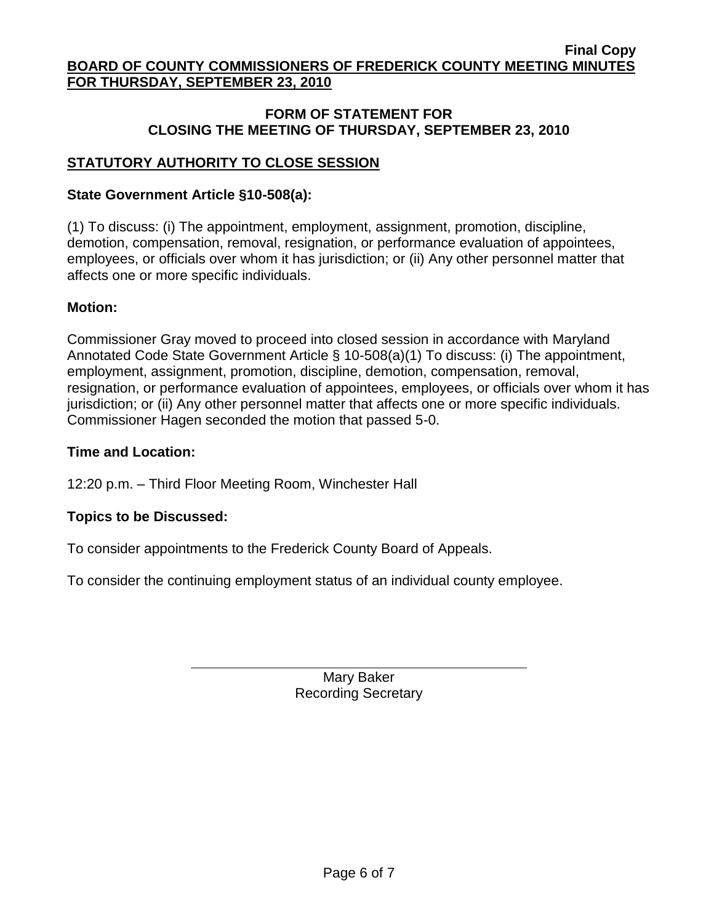## **FORM OF STATEMENT FOR CLOSING THE MEETING OF THURSDAY, SEPTEMBER 23, 2010**

# **STATUTORY AUTHORITY TO CLOSE SESSION**

### **State Government Article §10-508(a):**

(1) To discuss: (i) The appointment, employment, assignment, promotion, discipline, demotion, compensation, removal, resignation, or performance evaluation of appointees, employees, or officials over whom it has jurisdiction; or (ii) Any other personnel matter that affects one or more specific individuals.

### **Motion:**

Commissioner Gray moved to proceed into closed session in accordance with Maryland Annotated Code State Government Article § 10-508(a)(1) To discuss: (i) The appointment, employment, assignment, promotion, discipline, demotion, compensation, removal, resignation, or performance evaluation of appointees, employees, or officials over whom it has jurisdiction; or (ii) Any other personnel matter that affects one or more specific individuals. Commissioner Hagen seconded the motion that passed 5-0.

### **Time and Location:**

12:20 p.m. – Third Floor Meeting Room, Winchester Hall

### **Topics to be Discussed:**

To consider appointments to the Frederick County Board of Appeals.

To consider the continuing employment status of an individual county employee.

Mary Baker Recording Secretary